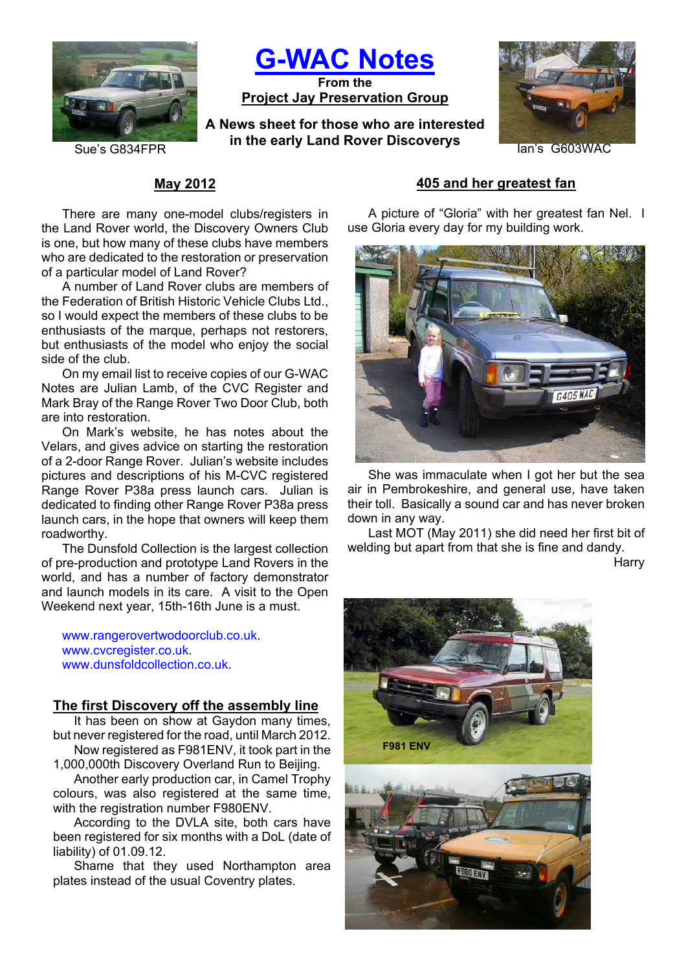

**G-WAC Notes**

**From the Project Jay Preservation Group**

**A News sheet for those who are interested in the early Land Rover Discoverys Example 26 and Sue's G603WAC** 



## **May 2012**

There are many one-model clubs/registers in the Land Rover world, the Discovery Owners Club is one, but how many of these clubs have members who are dedicated to the restoration or preservation of a particular model of Land Rover?

A number of Land Rover clubs are members of the Federation of British Historic Vehicle Clubs Ltd., so I would expect the members of these clubs to be enthusiasts of the marque, perhaps not restorers, but enthusiasts of the model who enjoy the social side of the club.

On my email list to receive copies of our G-WAC Notes are Julian Lamb, of the CVC Register and Mark Bray of the Range Rover Two Door Club, both are into restoration.

On Mark's website, he has notes about the Velars, and gives advice on starting the restoration of a 2-door Range Rover. Julian's website includes pictures and descriptions of his M-CVC registered Range Rover P38a press launch cars. Julian is dedicated to finding other Range Rover P38a press launch cars, in the hope that owners will keep them roadworthy.

The Dunsfold Collection is the largest collection of pre-production and prototype Land Rovers in the world, and has a number of factory demonstrator and launch models in its care. A visit to the Open Weekend next year, 15th-16th June is a must.

www.rangerovertwodoorclub.co.uk. www.cvcregister.co.uk. www.dunsfoldcollection.co.uk

#### **The first Discovery off the assembly line**

It has been on show at Gaydon many times, but never registered for the road, until March 2012. Now registered as F981ENV, it took part in the

1,000,000th Discovery Overland Run to Beijing.

Another early production car, in Camel Trophy colours, was also registered at the same time, with the registration number F980ENV.

According to the DVLA site, both cars have been registered for six months with a DoL (date of liability) of 01.09.12.

Shame that they used Northampton area plates instead of the usual Coventry plates.

## **405 and her greatest fan**

A picture of "Gloria" with her greatest fan Nel. I use Gloria every day for my building work.



She was immaculate when I got her but the sea air in Pembrokeshire, and general use, have taken their toll. Basically a sound car and has never broken down in any way.

Last MOT (May 2011) she did need her first bit of welding but apart from that she is fine and dandy.

**Harry** 

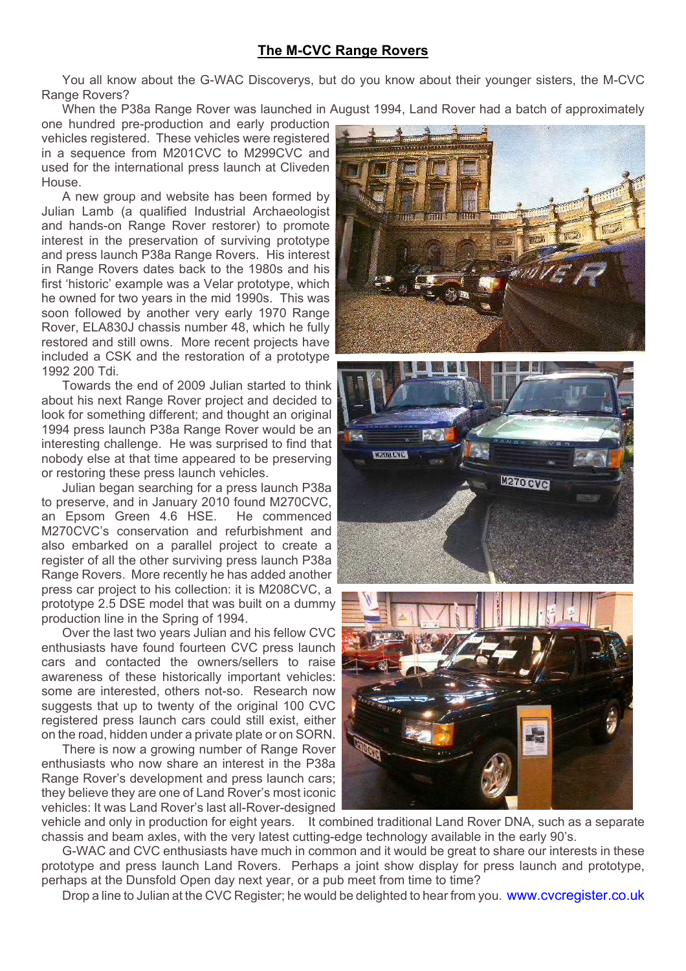## **The M-CVC Range Rovers**

You all know about the G-WAC Discoverys, but do you know about their younger sisters, the M-CVC Range Rovers?

When the P38a Range Rover was launched in August 1994, Land Rover had a batch of approximately

one hundred pre-production and early production vehicles registered. These vehicles were registered in a sequence from M201CVC to M299CVC and used for the international press launch at Cliveden House.

A new group and website has been formed by Julian Lamb (a qualified Industrial Archaeologist and hands-on Range Rover restorer) to promote interest in the preservation of surviving prototype and press launch P38a Range Rovers. His interest in Range Rovers dates back to the 1980s and his first 'historic' example was a Velar prototype, which he owned for two years in the mid 1990s. This was soon followed by another very early 1970 Range Rover, ELA830J chassis number 48, which he fully restored and still owns. More recent projects have included a CSK and the restoration of a prototype 1992 200 Tdi.

Towards the end of 2009 Julian started to think about his next Range Rover project and decided to look for something different; and thought an original 1994 press launch P38a Range Rover would be an interesting challenge. He was surprised to find that nobody else at that time appeared to be preserving or restoring these press launch vehicles.

Julian began searching for a press launch P38a to preserve, and in January 2010 found M270CVC, an Epsom Green 4.6 HSE. He commenced M270CVC's conservation and refurbishment and also embarked on a parallel project to create a register of all the other surviving press launch P38a Range Rovers. More recently he has added another press car project to his collection: it is M208CVC, a prototype 2.5 DSE model that was built on a dummy production line in the Spring of 1994.

Over the last two years Julian and his fellow CVC enthusiasts have found fourteen CVC press launch cars and contacted the owners/sellers to raise awareness of these historically important vehicles: some are interested, others not-so. Research now suggests that up to twenty of the original 100 CVC registered press launch cars could still exist, either on the road, hidden under a private plate or on SORN.

There is now a growing number of Range Rover enthusiasts who now share an interest in the P38a Range Rover's development and press launch cars; they believe they are one of Land Rover's most iconic vehicles: It was Land Rover's last all-Rover-designed







vehicle and only in production for eight years. It combined traditional Land Rover DNA, such as a separate chassis and beam axles, with the very latest cutting-edge technology available in the early 90's.

G-WAC and CVC enthusiasts have much in common and it would be great to share our interests in these prototype and press launch Land Rovers. Perhaps a joint show display for press launch and prototype, perhaps at the Dunsfold Open day next year, or a pub meet from time to time?

Drop a line to Julian at the CVC Register; he would be delighted to hear from you. www.cvcregister.co.uk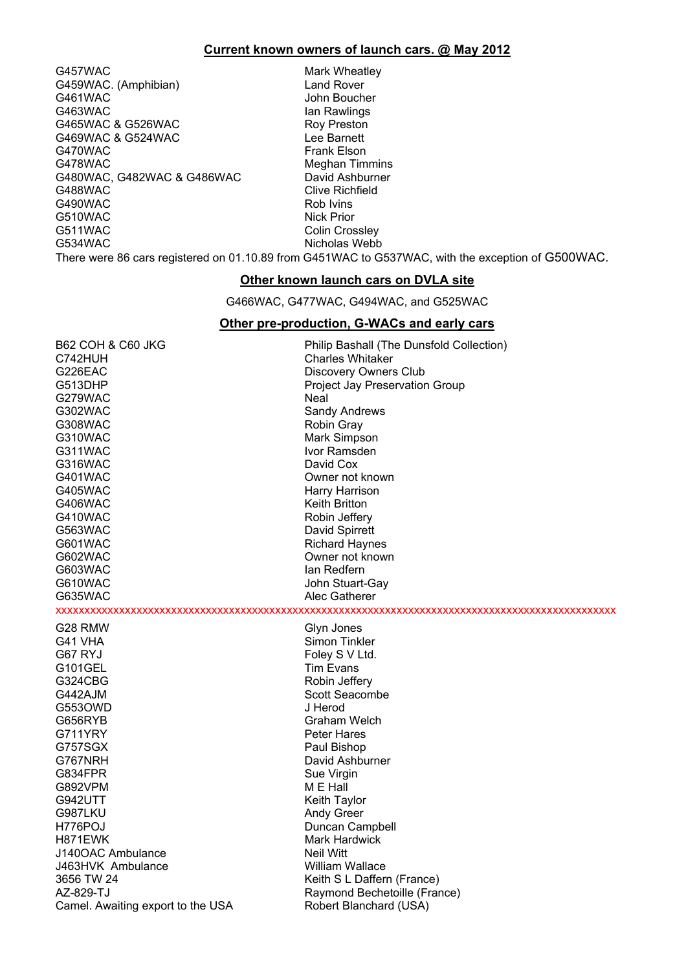#### **Current known owners of launch cars. @ May 2012**

G457WAC Mark Wheatley G459WAC. (Amphibian) Land Rover<br>
G461WAC G461WAC COMPUTE: UNIT G461WAC John Boucher<br>G463WAC Jan Rawlings G465WAC & G526WAC <br>G469WAC & G524WAC CONFIDENTIAL Lee Barnett G469WAC & G524WAC G470WAC Frank Elson G478WAC Meghan Timmins G480WAC, G482WAC & G486WAC David Ashburner G488WAC Clive Richfield G490WAC Rob Ivins G510WAC Nick Prior G511WAC Colin Crossley G534WAC Nicholas Webb

Ian Rawlings

There were 86 cars registered on 01.10.89 from G451WAC to G537WAC, with the exception of G500WAC.

#### **Other known launch cars on DVLA site**

G466WAC, G477WAC, G494WAC, and G525WAC

#### **Other pre-production, G-WACs and early cars**

| <b>B62 COH &amp; C60 JKG</b>      | Philip Bashall (The Dunsfold Collection) |
|-----------------------------------|------------------------------------------|
| C742HUH                           | <b>Charles Whitaker</b>                  |
| G226EAC                           | Discovery Owners Club                    |
| G513DHP                           | Project Jay Preservation Group           |
| G279WAC                           | Neal                                     |
| G302WAC                           | Sandy Andrews                            |
| G308WAC                           | Robin Gray                               |
| G310WAC                           | Mark Simpson                             |
| G311WAC                           | Ivor Ramsden                             |
| G316WAC                           | David Cox                                |
| G401WAC                           | Owner not known                          |
| G405WAC                           | Harry Harrison                           |
| G406WAC                           | Keith Britton                            |
| G410WAC                           | Robin Jeffery                            |
| G563WAC                           | David Spirrett                           |
| G601WAC                           | <b>Richard Haynes</b>                    |
| G602WAC                           | Owner not known                          |
| G603WAC                           | lan Redfern                              |
| G610WAC                           | John Stuart-Gay                          |
| G635WAC                           | Alec Gatherer                            |
|                                   |                                          |
| G28 RMW                           | Glyn Jones                               |
| G41 VHA                           | Simon Tinkler                            |
| G67 RYJ                           | Foley S V Ltd.                           |
| G101GEL                           | Tim Evans                                |
| G324CBG                           | Robin Jeffery                            |
| G442AJM                           | Scott Seacombe                           |
| G5530WD                           | J Herod                                  |
| G656RYB                           | Graham Welch                             |
| G711YRY                           | <b>Peter Hares</b>                       |
| G757SGX                           | Paul Bishop                              |
| G767NRH                           | David Ashburner                          |
| G834FPR                           | Sue Virgin                               |
| G892VPM                           | M E Hall                                 |
| G942UTT                           | Keith Taylor                             |
| G987LKU                           | <b>Andy Greer</b>                        |
| H776POJ                           | Duncan Campbell                          |
| H871EWK                           | Mark Hardwick                            |
| J140OAC Ambulance                 | Neil Witt                                |
| J463HVK Ambulance                 | William Wallace                          |
| 3656 TW 24                        | Keith S L Daffern (France)               |
| AZ-829-TJ                         | Raymond Bechetoille (France)             |
| Camel. Awaiting export to the USA | Robert Blanchard (USA)                   |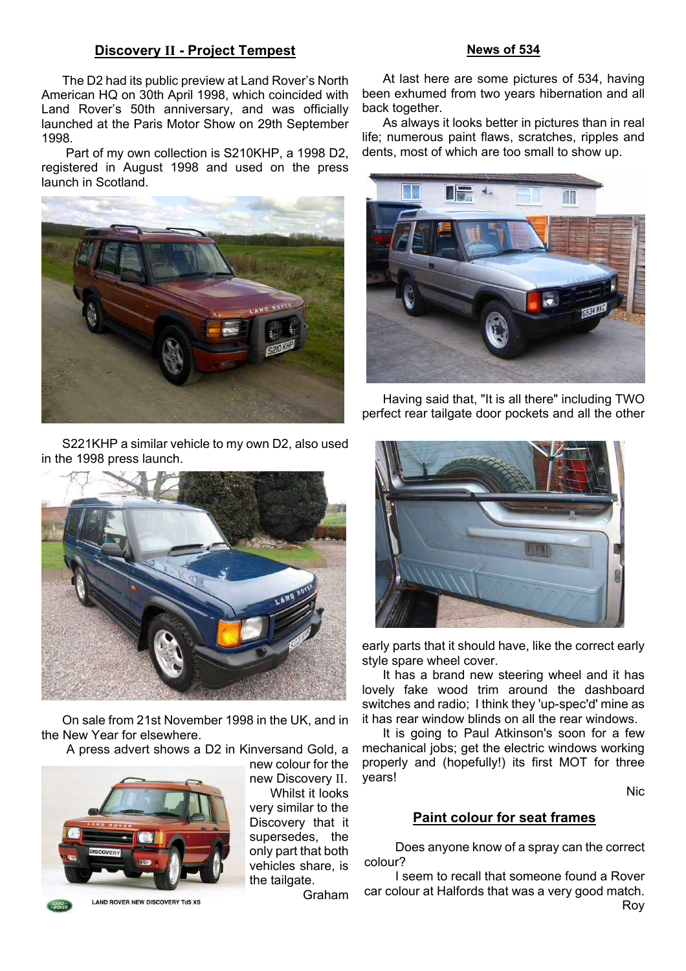#### **Discovery II - Project Tempest**

The D2 had its public preview at Land Rover's North American HQ on 30th April 1998, which coincided with Land Rover's 50th anniversary, and was officially launched at the Paris Motor Show on 29th September 1998.

 Part of my own collection is S210KHP, a 1998 D2, registered in August 1998 and used on the press launch in Scotland.



S221KHP a similar vehicle to my own D2, also used in the 1998 press launch.



On sale from 21st November 1998 in the UK, and in the New Year for elsewhere.

A press advert shows a D2 in Kinversand Gold, a



new colour for the new Discovery II. Whilst it looks very similar to the Discovery that it supersedes, the only part that both vehicles share, is the tailgate.

**News of 534**

At last here are some pictures of 534, having been exhumed from two years hibernation and all back together.

As always it looks better in pictures than in real life; numerous paint flaws, scratches, ripples and dents, most of which are too small to show up.



Having said that, "It is all there" including TWO perfect rear tailgate door pockets and all the other



early parts that it should have, like the correct early style spare wheel cover.

It has a brand new steering wheel and it has lovely fake wood trim around the dashboard switches and radio; I think they 'up-spec'd' mine as it has rear window blinds on all the rear windows.

It is going to Paul Atkinson's soon for a few mechanical jobs; get the electric windows working properly and (hopefully!) its first MOT for three years!

Nic

#### **Paint colour for seat frames**

Does anyone know of a spray can the correct colour?

I seem to recall that someone found a Rover car colour at Halfords that was a very good match. Roy

Graham